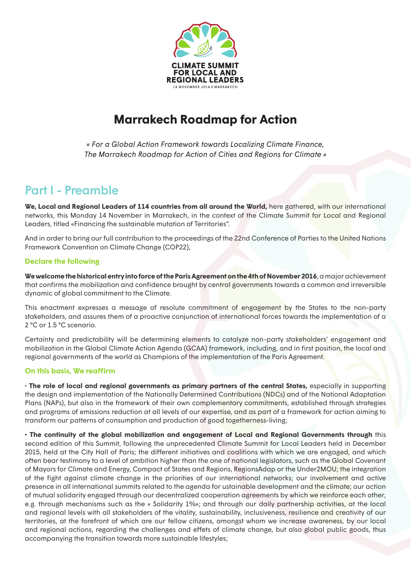

# **Marrakech Roadmap for Action**

*« For a Global Action Framework towards Localizing Climate Finance, The Marrakech Roadmap for Action of Cities and Regions for Climate »*

## Part I - Preamble

**We, Local and Regional Leaders of 114 countries from all around the World,** here gathered, with our international networks, this Monday 14 November in Marrakech, in the context of the Climate Summit for Local and Regional Leaders, titled «Financing the sustainable mutation of Territories".

And in order to bring our full contribution to the proceedings of the 22nd Conference of Parties to the United Nations Framework Convention on Climate Change (COP22),

### **Declare the following**

**We welcome the historical entry into force of the Paris Agreement on the 4th of November 2016**, a major achievement that confirms the mobilization and confidence brought by central governments towards a common and irreversible dynamic of global commitment to the Climate.

This enactment expresses a message of resolute commitment of engagement by the States to the non-party stakeholders, and assures them of a proactive conjunction of international forces towards the implementation of a 2 °C or 1.5 °C scenario.

Certainty and predictability will be determining elements to catalyze non-party stakeholders' engagement and mobilization in the Global Climate Action Agenda (GCAA) framework, including, and in first position, the local and regional governments of the world as Champions of the implementation of the Paris Agreement.

### **On this basis, We reaffirm**

• **The role of local and regional governments as primary partners of the central States,** especially in supporting the design and implementation of the Nationally Determined Contributions (NDCs) and of the National Adaptation Plans (NAPs), but also in the framework of their own complementary commitments, established through strategies and programs of emissions reduction at all levels of our expertise, and as part of a framework for action aiming to transform our patterns of consumption and production of good togetherness-living;

**• The continuity of the global mobilization and engagement of Local and Regional Governments through** this second edition of this Summit, following the unprecedented Climate Summit for Local Leaders held in December 2015, held at the City Hall of Paris; the different initiatives and coalitions with which we are engaged, and which o"en bear testimony to a level of ambition higher than the one of national legislators, such as the Global Covenant of Mayors for Climate and Energy, Compact of States and Regions, RegionsAdap or the Under2MOU; the integration of the fight against climate change in the priorities of our international networks; our involvement and active presence in all international summits related to the agenda for ustainable development and the climate; our action of mutual solidarity engaged through our decentralized cooperation agreements by which we reinforce each other, e.g. through mechanisms such as the « Solidarity 1%»; and through our daily partnership activities, at the local and regional levels with all stakeholders of the vitality, sustainability, inclusiveness, resilience and creativity of our territories, at the forefront of which are our fellow citizens, amongst whom we increase awareness, by our local and regional actions, regarding the challenges and effets of climate change, but also global public goods, thus accompanying the transition towards more sustainable lifestyles;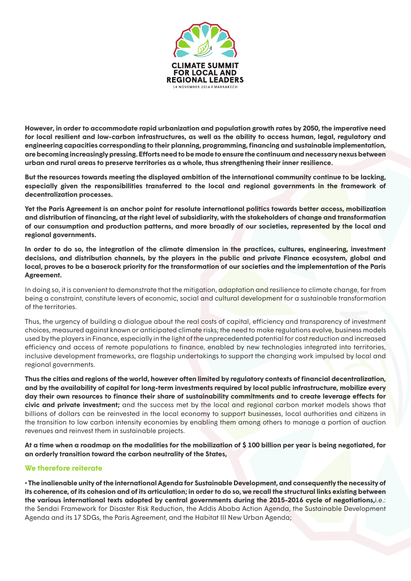

**However, in order to accommodate rapid urbanization and population growth rates by 2050, the imperative need for local resilient and low-carbon infrastructures, as well as the ability to access human, legal, regulatory and engineering capacities corresponding to their planning, programming, financing and sustainable implementation, are becoming increasingly pressing. E"orts need to be made to ensure the continuum and necessary nexus between urban and rural areas to preserve territories as a whole, thus strengthening their inner resilience.**

**But the resources towards meeting the displayed ambition of the international community continue to be lacking, especially given the responsibilities transferred to the local and regional governments in the framework of decentralization processes.**

**Yet the Paris Agreement is an anchor point for resolute international politics towards better access, mobilization and distribution of financing, at the right level of subsidiarity, with the stakeholders of change and transformation of our consumption and production patterns, and more broadly of our societies, represented by the local and regional governments.**

**In order to do so, the integration of the climate dimension in the practices, cultures, engineering, investment decisions, and distribution channels, by the players in the public and private Finance ecosystem, global and local, proves to be a baserock priority for the transformation of our societies and the implementation of the Paris Agreement.**

In doing so, it is convenient to demonstrate that the mitigation, adaptation and resilience to climate change, far from being a constraint, constitute levers of economic, social and cultural development for a sustainable transformation of the territories.

Thus, the urgency of building a dialogue about the real costs of capital, efficiency and transparency of investment choices, measured against known or anticipated climate risks; the need to make regulations evolve, business models used by the players in Finance, especially in the light of the unprecedented potential for cost reduction and increased efficiency and access of remote populations to finance, enabled by new technologies integrated into territories, inclusive development frameworks, are flagship undertakings to support the changing work impulsed by local and regional governments.

Thus the cities and regions of the world, however often limited by regulatory contexts of financial decentralization, **and by the availability of capital for long-term investments required by local public infrastructure, mobilize every**  day their own resources to finance their share of sustainability commitments and to create leverage effects for **civic and private investment;** and the success met by the local and regional carbon market models shows that billions of dollars can be reinvested in the local economy to support businesses, local authorities and citizens in the transition to low carbon intensity economies by enabling them among others to manage a portion of auction revenues and reinvest them in sustainable projects.

**At a time when a roadmap on the modalities for the mobilization of \$ 100 billion per year is being negotiated, for an orderly transition toward the carbon neutrality of the States,**

#### **We therefore reiterate**

**• The inalienable unity of the international Agenda for Sustainable Development, and consequently the necessity of its coherence, of its cohesion and of its articulation; in order to do so, we recall the structural links existing between the various international texts adopted by central governments during the 2015-2016 cycle of negotiations,**i.e.: the Sendai Framework for Disaster Risk Reduction, the Addis Ababa Action Agenda, the Sustainable Development Agenda and its 17 SDGs, the Paris Agreement, and the Habitat III New Urban Agenda;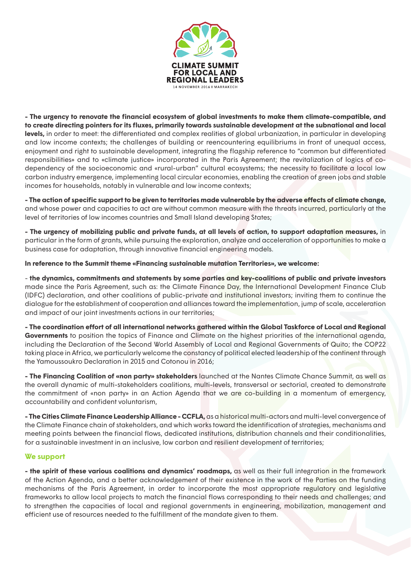

**- The urgency to renovate the financial ecosystem of global investments to make them climate-compatible, and to create directing pointers for its fluxes, primarily towards sustainable development at the subnational and local**  levels, in order to meet: the differentiated and complex realities of global urbanization, in particular in developing and low income contexts; the challenges of building or reencountering equilibriums in front of unequal access, enjoyment and right to sustainable development, integrating the flagship reference to "common but differentiated responsibilities» and to «climate justice» incorporated in the Paris Agreement; the revitalization of logics of codependency of the socioeconomic and «rural-urban" cultural ecosystems; the necessity to facilitate a local low carbon industry emergence, implementing local circular economies, enabling the creation of green jobs and stable incomes for households, notably in vulnerable and low income contexts;

- The action of specific support to be given to territories made vulnerable by the adverse effects of climate change, and whose power and capacities to act are without common measure with the threats incurred, particularly at the level of territories of low incomes countries and Small Island developing States;

**- The urgency of mobilizing public and private funds, at all levels of action, to support adaptation measures,** in particular in the form of grants, while pursuing the exploration, analyze and acceleration of opportunities to make a business case for adaptation, through innovative financial engineering models.

#### **In reference to the Summit theme «Financing sustainable mutation Territories», we welcome:**

- **the dynamics, commitments and statements by some parties and key-coalitions of public and private investors**  made since the Paris Agreement, such as: the Climate Finance Day, the International Development Finance Club (IDFC) declaration, and other coalitions of public-private and institutional investors; inviting them to continue the dialogue for the establishment of cooperation and alliances toward the implementation, jump of scale, acceleration and impact of our joint investments actions in our territories;

**- The coordination effort of all international networks gathered within the Global Taskforce of Local and Regional Governments** to position the topics of Finance and Climate on the highest priorities of the international agenda, including the Declaration of the Second World Assembly of Local and Regional Governments of Quito; the COP22 taking place in Africa, we particularly welcome the constancy of political elected leadership of the continent through the Yamoussoukro Declaration in 2015 and Cotonou in 2016;

**- The Financing Coalition of «non party» stakeholders** launched at the Nantes Climate Chance Summit, as well as the overall dynamic of multi-stakeholders coalitions, multi-levels, transversal or sectorial, created to demonstrate the commitment of «non party» in an Action Agenda that we are co-building in a momentum of emergency, accountability and confident voluntarism,

**- The Cities Climate Finance Leadership Alliance - CCFLA,** as a historical multi-actors and multi-level convergence of the Climate Finance chain of stakeholders, and which works toward the identification of strategies, mechanisms and meeting points between the financial flows, dedicated institutions, distribution channels and their conditionalities, for a sustainable investment in an inclusive, low carbon and resilient development of territories;

#### **We support**

**- the spirit of these various coalitions and dynamics' roadmaps,** as well as their full integration in the framework of the Action Agenda, and a better acknowledgement of their existence in the work of the Parties on the funding mechanisms of the Paris Agreement, in order to incorporate the most appropriate regulatory and legislative frameworks to allow local projects to match the financial flows corresponding to their needs and challenges; and to strengthen the capacities of local and regional governments in engineering, mobilization, management and efficient use of resources needed to the fulfillment of the mandate given to them.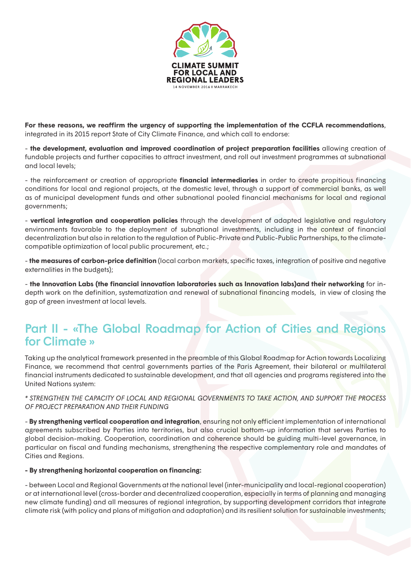

For these reasons, we reaffirm the urgency of supporting the implementation of the CCFLA recommendations, integrated in its 2015 report State of City Climate Finance, and which call to endorse:

- **the development, evaluation and improved coordination of project preparation facilities** allowing creation of fundable projects and further capacities to attract investment, and roll out investment programmes at subnational and local levels;

- the reinforcement or creation of appropriate **financial intermediaries** in order to create propitious financing conditions for local and regional projects, at the domestic level, through a support of commercial banks, as well as of municipal development funds and other subnational pooled financial mechanisms for local and regional governments;

- **vertical integration and cooperation policies** through the development of adapted legislative and regulatory environments favorable to the deployment of subnational investments, including in the context of financial decentralization but also in relation to the regulation of Public-Private and Public-Public Partnerships, to the climatecompatible optimization of local public procurement, etc.;

- **the measures of carbon-price definition** (local carbon markets, specific taxes, integration of positive and negative externalities in the budgets);

- **the Innovation Labs (the financial innovation laboratories such as Innovation labs)and their networking** for indepth work on the definition, systematization and renewal of subnational financing models, in view of closing the gap of green investment at local levels.

## Part II - «The Global Roadmap for Action of Cities and Regions for Climate »

Taking up the analytical framework presented in the preamble of this Global Roadmap for Action towards Localizing Finance, we recommend that central governments parties of the Paris Agreement, their bilateral or multilateral financial instruments dedicated to sustainable development, and that all agencies and programs registered into the United Nations system:

*\* STRENGTHEN THE CAPACITY OF LOCAL AND REGIONAL GOVERNMENTS TO TAKE ACTION, AND SUPPORT THE PROCESS OF PROJECT PREPARATION AND THEIR FUNDING* 

- By strengthening vertical cooperation and integration, ensuring not only efficient implementation of international agreements subscribed by Parties into territories, but also crucial bottom-up information that serves Parties to global decision-making. Cooperation, coordination and coherence should be guiding multi-level governance, in particular on fiscal and funding mechanisms, strengthening the respective complementary role and mandates of Cities and Regions.

#### **- By strengthening horizontal cooperation on financing:**

- between Local and Regional Governments at the national level (inter-municipality and local-regional cooperation) or at international level (cross-border and decentralized cooperation, especially in terms of planning and managing new climate funding) and all measures of regional integration, by supporting development corridors that integrate climate risk (with policy and plans of mitigation and adaptation) and its resilient solution for sustainable investments;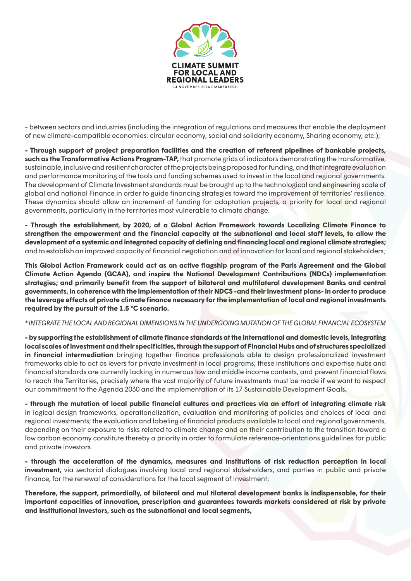

- between sectors and industries (including the integration of regulations and measures that enable the deployment of new climate-compatible economies: circular economy, social and solidarity economy, Sharing economy, etc.);

**- Through support of project preparation facilities and the creation of referent pipelines of bankable projects, such as the Transformative Actions Program-TAP,** that promote grids of indicators demonstrating the transformative, sustainable, inclusive and resilient character of the projects being proposed for funding, and that integrate evaluation and performance monitoring of the tools and funding schemes used to invest in the local and regional governments. The development of Climate Investment standards must be brought up to the technological and engineering scale of global and national Finance in order to guide financing strategies toward the improvement of territories' resilience. These dynamics should allow an increment of funding for adaptation projects, a priority for local and regional governments, particularly in the territories most vulnerable to climate change.

**- Through the establishment, by 2020, of a Global Action Framework towards Localizing Climate Finance to**  strengthen the empowerment and the financial capacity at the subnational and local staff levels, to allow the **development of a systemic and integrated capacity of defining and financing local and regional climate strategies;**  and to establish an improved capacity of financial negotiation and of innovation for local and regional stakeholders;

**This Global Action Framework could act as an active flagship program of the Paris Agreement and the Global Climate Action Agenda (GCAA), and inspire the National Development Contributions (NDCs) implementation strategies; and primarily benefit from the support of bilateral and multilateral development Banks and central governments, in coherence with the implementation of their NDCS -and their Investment plans- in order to produce**  the leverage effects of private climate finance necessary for the implementation of local and regional investments **required by the pursuit of the 1.5 °C scenario.**

#### *\* INTEGRATE THE LOCAL AND REGIONAL DIMENSIONS IN THE UNDERGOING MUTATION OF THE GLOBAL FINANCIAL ECOSYSTEM*

**- by supporting the establishment of climate finance standards at the international and domestic levels, integrating local scales of investment and their specificities, through the support of Financial Hubs and of structures specialized in financial intermediation** bringing together finance professionals able to design professionalized investment frameworks able to act as levers for private investment in local programs; these institutions and expertise hubs and financial standards are currently lacking in numerous low and middle income contexts, and prevent financial flows to reach the Territories, precisely where the vast majority of future investments must be made if we want to respect our commitment to the Agenda 2030 and the implementation of its 17 Sustainable Development Goals**.**

- through the mutation of local public financial cultures and practices via an effort of integrating climate risk in logical design frameworks, operationalization, evaluation and monitoring of policies and choices of local and regional investments; the evaluation and labeling of financial products available to local and regional governments, depending on their exposure to risks related to climate change and on their contribution to the transition toward a low carbon economy constitute thereby a priority in order to formulate reference-orientations guidelines for public and private investors.

**- through the acceleration of the dynamics, measures and institutions of risk reduction perception in local investment,** via sectorial dialogues involving local and regional stakeholders, and parties in public and private finance, for the renewal of considerations for the local segment of investment;

**Therefore, the support, primordially, of bilateral and mul tilateral development banks is indispensable, for their important capacities of innovation, prescription and guarantees towards markets considered at risk by private and institutional investors, such as the subnational and local segments,**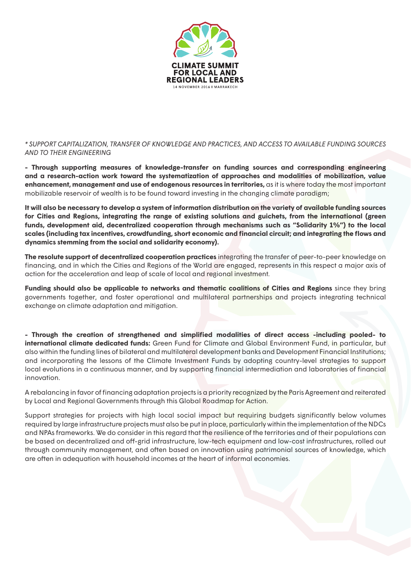

*\* SUPPORT CAPITALIZATION, TRANSFER OF KNOWLEDGE AND PRACTICES, AND ACCESS TO AVAILABLE FUNDING SOURCES AND TO THEIR ENGINEERING*

**- Through supporting measures of knowledge-transfer on funding sources and corresponding engineering and a research-action work toward the systematization of approaches and modalities of mobilization, value enhancement, management and use of endogenous resources in territories,** as it is where today the most important mobilizable reservoir of wealth is to be found toward investing in the changing climate paradigm;

**It will also be necessary to develop a system of information distribution on the variety of available funding sources for Cities and Regions, integrating the range of existing solutions and guichets, from the international (green funds, development aid, decentralized cooperation through mechanisms such as "Solidarity 1%") to the local scales (including tax incentives, crowdfunding, short economic and financial circuit; and integrating the flows and dynamics stemming from the social and solidarity economy).**

**The resolute support of decentralized cooperation practices** integrating the transfer of peer-to-peer knowledge on financing, and in which the Cities and Regions of the World are engaged, represents in this respect a major axis of action for the acceleration and leap of scale of local and regional investment.

**Funding should also be applicable to networks and thematic coalitions of Cities and Regions** since they bring governments together, and foster operational and multilateral partnerships and projects integrating technical exchange on climate adaptation and mitigation.

**- Through the creation of strengthened and simplified modalities of direct access -including pooled- to international climate dedicated funds:** Green Fund for Climate and Global Environment Fund, in particular, but also within the funding lines of bilateral and multilateral development banks and Development Financial Institutions; and incorporating the lessons of the Climate Investment Funds by adopting country-level strategies to support local evolutions in a continuous manner, and by supporting financial intermediation and laboratories of financial innovation.

A rebalancing in favor of financing adaptation projects is a priority recognized by the Paris Agreement and reiterated by Local and Regional Governments through this Global Roadmap for Action.

Support strategies for projects with high local social impact but requiring budgets significantly below volumes required by large infrastructure projects must also be put in place, particularly within the implementation of the NDCs and NPAs frameworks. We do consider in this regard that the resilience of the territories and of their populations can be based on decentralized and off-grid infrastructure, low-tech equipment and low-cost infrastructures, rolled out through community management, and often based on innovation using patrimonial sources of knowledge, which are often in adequation with household incomes at the heart of informal economies.